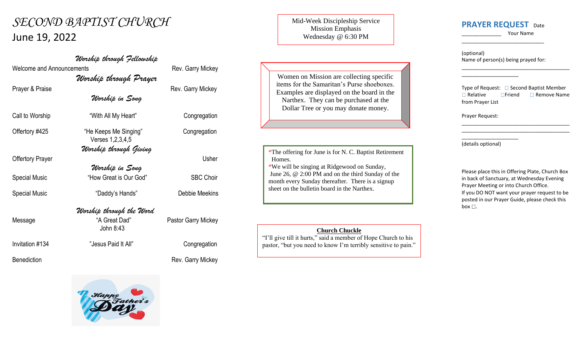# *SECOND BAPTIST CHURCH* June 19, 2022

Welcome and Announcements **Rev. Garry Mickey** 

*Worship through Prayer*

*Worship in Song*

*Worship through Fellowship*

Prayer & Praise **Rev.** Garry Mickey

Special Music "How Great is Our God" SBC Choir

Call to Worship "With All My Heart" Congregation

Offertory #425 "He Keeps Me Singing" Congregation Verses 1,2,3,4,5 *Worship through Giving*

Offertory Prayer Usher *Worship in Song*

## *Worship through the Word*

Message "A Great Dad" Pastor Garry Mickey John 8:43

Special Music "Daddy's Hands" Debbie Meekins

Invitation #134 **The Matter of Transform Transform Congregation** Congregation

Benediction **Benediction Rev. Garry Mickey** 

### Mid-Week Discipleship Service Mission Emphasis Wednesday @ 6:30 PM

Women on Mission are collecting specific items for the Samaritan's Purse shoeboxes. Examples are displayed on the board in the Narthex. They can be purchased at the Dollar Tree or you may donate money.

\*The offering for June is for N. C. Baptist Retirement Homes.

\*We will be singing at Ridgewood on Sunday, June 26, @ 2:00 PM and on the third Sunday of the month every Sunday thereafter. There is a signup sheet on the bulletin board in the Narthex.

#### **Church Chuckle**

"I'll give till it hurts," said a member of Hope Church to his pastor, "but you need to know I'm terribly sensitive to pain."

# **PRAYER REQUEST** Date

\_\_\_\_\_\_\_\_\_\_\_\_\_\_\_\_\_\_\_\_\_\_\_\_\_\_\_\_\_

\_\_\_\_\_\_\_\_\_\_\_\_\_\_ Your Name

\_\_\_\_\_\_\_\_\_\_\_\_\_\_\_\_\_\_\_\_\_\_\_\_\_\_\_\_\_\_\_\_\_\_\_\_\_\_

(optional) Name of person(s) being prayed for:

\_\_\_\_\_\_\_\_\_\_\_\_\_\_\_\_\_\_\_\_

Type of Request:  $\Box$  Second Baptist Member  $\Box$  Relative  $\Box$  Friend  $\Box$  Remove Name from Prayer List

\_\_\_\_\_\_\_\_\_\_\_\_\_\_\_\_\_\_\_\_\_\_\_\_\_\_\_\_\_\_\_\_\_\_\_\_\_\_ \_\_\_\_\_\_\_\_\_\_\_\_\_\_\_\_\_\_\_\_\_\_\_\_\_\_\_\_\_\_\_\_\_\_\_\_\_\_

Prayer Request:

\_\_\_\_\_\_\_\_\_\_\_\_\_\_\_\_\_\_\_\_ (details optional)

Please place this in Offering Plate, Church Box in back of Sanctuary, at Wednesday Evening Prayer Meeting or into Church Office. If you DO NOT want your prayer request to be posted in our Prayer Guide, please check this box  $\square$ .